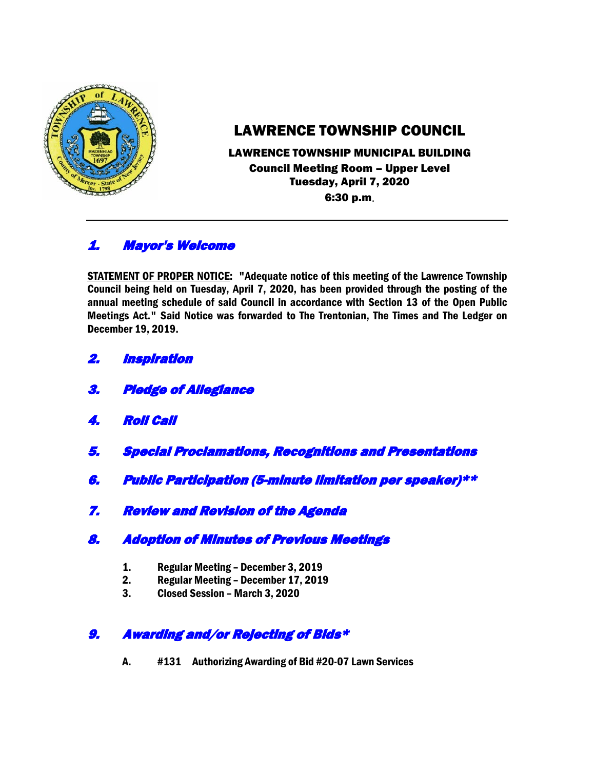

# LAWRENCE TOWNSHIP COUNCIL

#### LAWRENCE TOWNSHIP MUNICIPAL BUILDING Council Meeting Room – Upper Level Tuesday, April 7, 2020 6:30 p.m.

## 1. Mayor's Welcome

STATEMENT OF PROPER NOTICE: "Adequate notice of this meeting of the Lawrence Township Council being held on Tuesday, April 7, 2020, has been provided through the posting of the annual meeting schedule of said Council in accordance with Section 13 of the Open Public Meetings Act." Said Notice was forwarded to The Trentonian, The Times and The Ledger on December 19, 2019.

- 2. Inspiration
- 3. Pledge of Allegiance
- 4. Roll Call
- 5. Special Proclamations, Recognitions and Presentations
- 6. Public Participation (5-minute limitation per speaker)\*\*
- 7. Review and Revision of the Agenda
- 8. Adoption of Minutes of Previous Meetings
	- 1. Regular Meeting December 3, 2019
	- 2. Regular Meeting December 17, 2019
	- 3. Closed Session March 3, 2020

### 9. Awarding and/or Rejecting of Bids\*

A. #131 Authorizing Awarding of Bid #20-07 Lawn Services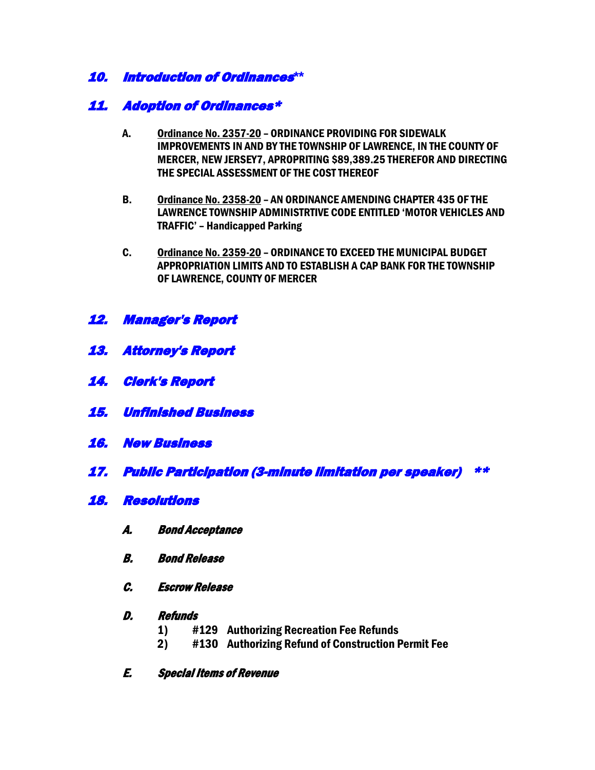### 10. Introduction of Ordinances**\*\***

### 11. Adoption of Ordinances\*

- A. Ordinance No. 2357-20 ORDINANCE PROVIDING FOR SIDEWALK IMPROVEMENTS IN AND BY THE TOWNSHIP OF LAWRENCE, IN THE COUNTY OF MERCER, NEW JERSEY7, APROPRITING \$89,389.25 THEREFOR AND DIRECTING THE SPECIAL ASSESSMENT OF THE COST THEREOF
- B. Ordinance No. 2358-20 AN ORDINANCE AMENDING CHAPTER 435 OF THE LAWRENCE TOWNSHIP ADMINISTRTIVE CODE ENTITLED 'MOTOR VEHICLES AND TRAFFIC' – Handicapped Parking
- C. Ordinance No. 2359-20 ORDINANCE TO EXCEED THE MUNICIPAL BUDGET APPROPRIATION LIMITS AND TO ESTABLISH A CAP BANK FOR THE TOWNSHIP OF LAWRENCE, COUNTY OF MERCER
- 12. Manager's Report
- 13. Attorney's Report
- 14. Clerk's Report
- 15. Unfinished Business
- 16. New Business
- 17. Public Participation (3-minute limitation per speaker) \*\*
- 18. Resolutions
	- A. Bond Acceptance
	- B. Bond Release
	- C. Escrow Release
	- D. Refunds
		- 1) #129 Authorizing Recreation Fee Refunds
		- 2) #130 Authorizing Refund of Construction Permit Fee
	- E. Special Items of Revenue